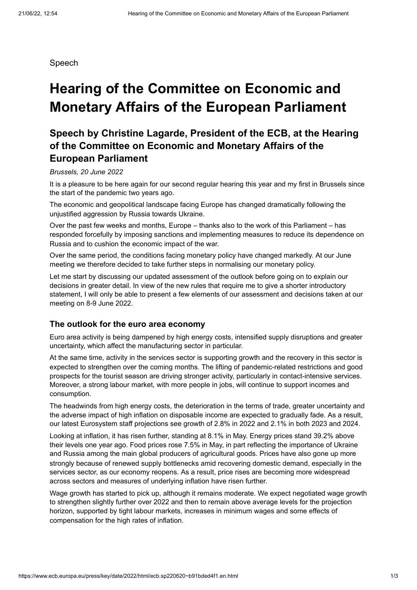Speech

# **Hearing of the Committee on Economic and Monetary Affairs of the European Parliament**

# **Speech by Christine Lagarde, President of the ECB, at the Hearing of the Committee on Economic and Monetary Affairs of the European Parliament**

#### *Brussels, 20 June 2022*

It is a pleasure to be here again for our second regular hearing this year and my first in Brussels since the start of the pandemic two years ago.

The economic and geopolitical landscape facing Europe has changed dramatically following the unjustified aggression by Russia towards Ukraine.

Over the past few weeks and months, Europe – thanks also to the work of this Parliament – has responded forcefully by imposing sanctions and implementing measures to reduce its dependence on Russia and to cushion the economic impact of the war.

Over the same period, the conditions facing monetary policy have changed markedly. At our June meeting we therefore decided to take further steps in normalising our monetary policy.

Let me start by discussing our updated assessment of the outlook before going on to explain our decisions in greater detail. In view of the new rules that require me to give a shorter introductory statement, I will only be able to present a few elements of our assessment and decisions taken at our meeting on 8-9 June 2022.

#### **The outlook for the euro area economy**

Euro area activity is being dampened by high energy costs, intensified supply disruptions and greater uncertainty, which affect the manufacturing sector in particular.

At the same time, activity in the services sector is supporting growth and the recovery in this sector is expected to strengthen over the coming months. The lifting of pandemic-related restrictions and good prospects for the tourist season are driving stronger activity, particularly in contact-intensive services. Moreover, a strong labour market, with more people in jobs, will continue to support incomes and consumption.

The headwinds from high energy costs, the deterioration in the terms of trade, greater uncertainty and the adverse impact of high inflation on disposable income are expected to gradually fade. As a result, our latest Eurosystem staff projections see growth of 2.8% in 2022 and 2.1% in both 2023 and 2024.

Looking at inflation, it has risen further, standing at 8.1% in May. Energy prices stand 39.2% above their levels one year ago. Food prices rose 7.5% in May, in part reflecting the importance of Ukraine and Russia among the main global producers of agricultural goods. Prices have also gone up more strongly because of renewed supply bottlenecks amid recovering domestic demand, especially in the services sector, as our economy reopens. As a result, price rises are becoming more widespread across sectors and measures of underlying inflation have risen further.

Wage growth has started to pick up, although it remains moderate. We expect negotiated wage growth to strengthen slightly further over 2022 and then to remain above average levels for the projection horizon, supported by tight labour markets, increases in minimum wages and some effects of compensation for the high rates of inflation.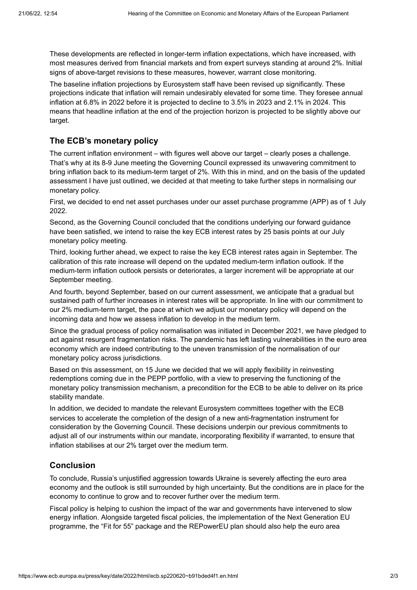These developments are reflected in longer-term inflation expectations, which have increased, with most measures derived from financial markets and from expert surveys standing at around 2%. Initial signs of above-target revisions to these measures, however, warrant close monitoring.

The baseline inflation projections by Eurosystem staff have been revised up significantly. These projections indicate that inflation will remain undesirably elevated for some time. They foresee annual inflation at 6.8% in 2022 before it is projected to decline to 3.5% in 2023 and 2.1% in 2024. This means that headline inflation at the end of the projection horizon is projected to be slightly above our target.

### **The ECB's monetary policy**

The current inflation environment – with figures well above our target – clearly poses a challenge. That's why at its 8-9 June meeting the Governing Council expressed its unwavering commitment to bring inflation back to its medium-term target of 2%. With this in mind, and on the basis of the updated assessment I have just outlined, we decided at that meeting to take further steps in normalising our monetary policy.

First, we decided to end net asset purchases under our asset purchase programme (APP) as of 1 July 2022.

Second, as the Governing Council concluded that the conditions underlying our forward guidance have been satisfied, we intend to raise the key ECB interest rates by 25 basis points at our July monetary policy meeting.

Third, looking further ahead, we expect to raise the key ECB interest rates again in September. The calibration of this rate increase will depend on the updated medium-term inflation outlook. If the medium-term inflation outlook persists or deteriorates, a larger increment will be appropriate at our September meeting.

And fourth, beyond September, based on our current assessment, we anticipate that a gradual but sustained path of further increases in interest rates will be appropriate. In line with our commitment to our 2% medium-term target, the pace at which we adjust our monetary policy will depend on the incoming data and how we assess inflation to develop in the medium term.

Since the gradual process of policy normalisation was initiated in December 2021, we have pledged to act against resurgent fragmentation risks. The pandemic has left lasting vulnerabilities in the euro area economy which are indeed contributing to the uneven transmission of the normalisation of our monetary policy across jurisdictions.

Based on this assessment, on 15 June we decided that we will apply flexibility in reinvesting redemptions coming due in the PEPP portfolio, with a view to preserving the functioning of the monetary policy transmission mechanism, a precondition for the ECB to be able to deliver on its price stability mandate.

In addition, we decided to mandate the relevant Eurosystem committees together with the ECB services to accelerate the completion of the design of a new anti-fragmentation instrument for consideration by the Governing Council. These decisions underpin our previous commitments to adjust all of our instruments within our mandate, incorporating flexibility if warranted, to ensure that inflation stabilises at our 2% target over the medium term.

### **Conclusion**

To conclude, Russia's unjustified aggression towards Ukraine is severely affecting the euro area economy and the outlook is still surrounded by high uncertainty. But the conditions are in place for the economy to continue to grow and to recover further over the medium term.

Fiscal policy is helping to cushion the impact of the war and governments have intervened to slow energy inflation. Alongside targeted fiscal policies, the implementation of the Next Generation EU programme, the "Fit for 55" package and the REPowerEU plan should also help the euro area